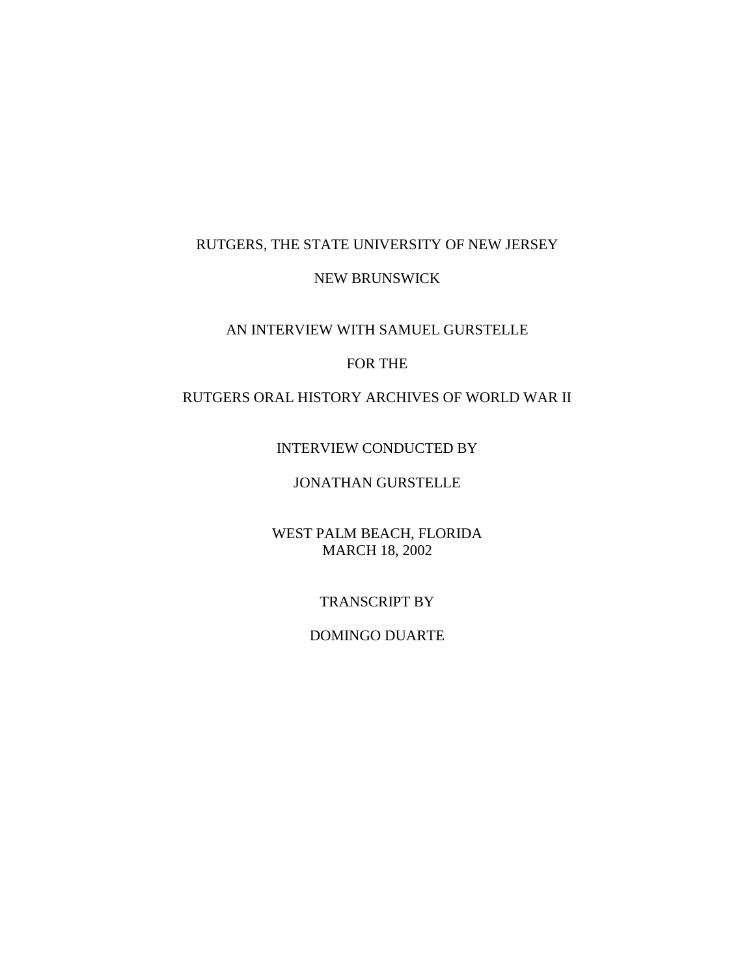## RUTGERS, THE STATE UNIVERSITY OF NEW JERSEY

## NEW BRUNSWICK

## AN INTERVIEW WITH SAMUEL GURSTELLE

## FOR THE

# RUTGERS ORAL HISTORY ARCHIVES OF WORLD WAR II

## INTERVIEW CONDUCTED BY

# JONATHAN GURSTELLE

#### WEST PALM BEACH, FLORIDA MARCH 18, 2002

#### TRANSCRIPT BY

#### DOMINGO DUARTE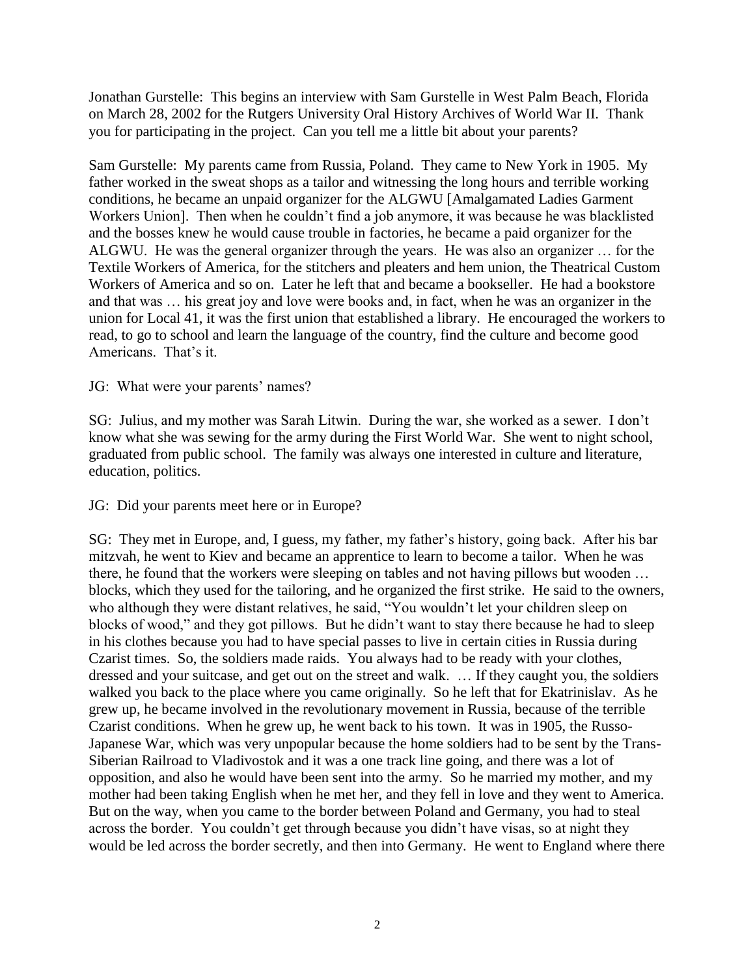Jonathan Gurstelle: This begins an interview with Sam Gurstelle in West Palm Beach, Florida on March 28, 2002 for the Rutgers University Oral History Archives of World War II. Thank you for participating in the project. Can you tell me a little bit about your parents?

Sam Gurstelle: My parents came from Russia, Poland. They came to New York in 1905. My father worked in the sweat shops as a tailor and witnessing the long hours and terrible working conditions, he became an unpaid organizer for the ALGWU [Amalgamated Ladies Garment Workers Union]. Then when he couldn't find a job anymore, it was because he was blacklisted and the bosses knew he would cause trouble in factories, he became a paid organizer for the ALGWU. He was the general organizer through the years. He was also an organizer … for the Textile Workers of America, for the stitchers and pleaters and hem union, the Theatrical Custom Workers of America and so on. Later he left that and became a bookseller. He had a bookstore and that was … his great joy and love were books and, in fact, when he was an organizer in the union for Local 41, it was the first union that established a library. He encouraged the workers to read, to go to school and learn the language of the country, find the culture and become good Americans. That's it.

#### JG: What were your parents' names?

SG: Julius, and my mother was Sarah Litwin. During the war, she worked as a sewer. I don't know what she was sewing for the army during the First World War. She went to night school, graduated from public school. The family was always one interested in culture and literature, education, politics.

JG: Did your parents meet here or in Europe?

SG: They met in Europe, and, I guess, my father, my father's history, going back. After his bar mitzvah, he went to Kiev and became an apprentice to learn to become a tailor. When he was there, he found that the workers were sleeping on tables and not having pillows but wooden … blocks, which they used for the tailoring, and he organized the first strike. He said to the owners, who although they were distant relatives, he said, "You wouldn't let your children sleep on blocks of wood," and they got pillows. But he didn't want to stay there because he had to sleep in his clothes because you had to have special passes to live in certain cities in Russia during Czarist times. So, the soldiers made raids. You always had to be ready with your clothes, dressed and your suitcase, and get out on the street and walk. … If they caught you, the soldiers walked you back to the place where you came originally. So he left that for Ekatrinislav. As he grew up, he became involved in the revolutionary movement in Russia, because of the terrible Czarist conditions. When he grew up, he went back to his town. It was in 1905, the Russo-Japanese War, which was very unpopular because the home soldiers had to be sent by the Trans-Siberian Railroad to Vladivostok and it was a one track line going, and there was a lot of opposition, and also he would have been sent into the army. So he married my mother, and my mother had been taking English when he met her, and they fell in love and they went to America. But on the way, when you came to the border between Poland and Germany, you had to steal across the border. You couldn't get through because you didn't have visas, so at night they would be led across the border secretly, and then into Germany. He went to England where there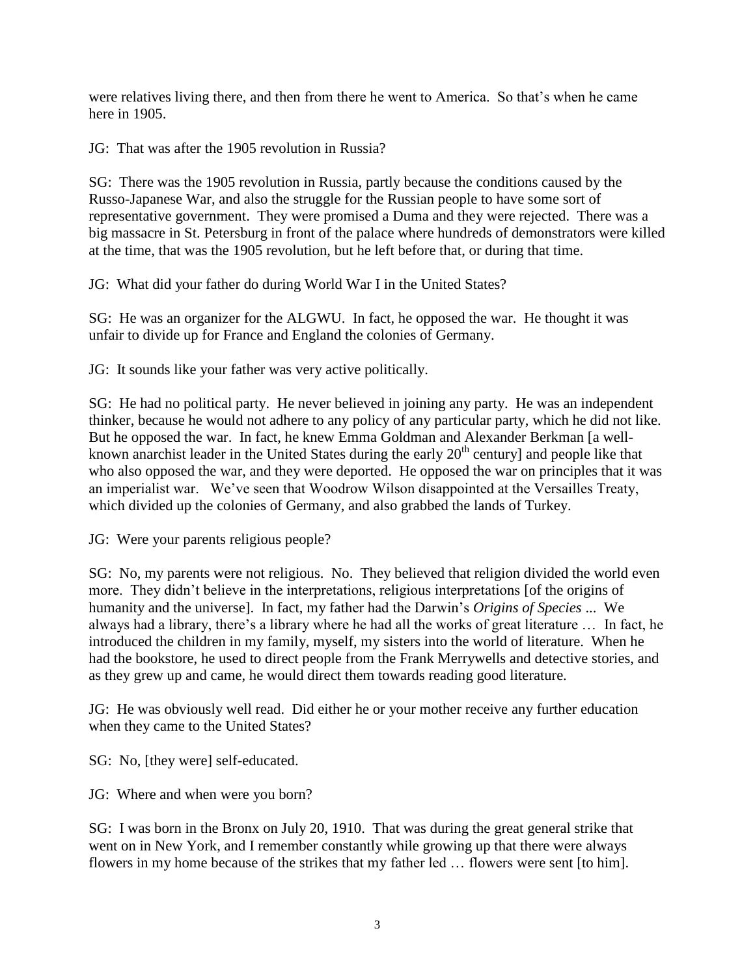were relatives living there, and then from there he went to America. So that's when he came here in 1905.

JG: That was after the 1905 revolution in Russia?

SG: There was the 1905 revolution in Russia, partly because the conditions caused by the Russo-Japanese War, and also the struggle for the Russian people to have some sort of representative government. They were promised a Duma and they were rejected. There was a big massacre in St. Petersburg in front of the palace where hundreds of demonstrators were killed at the time, that was the 1905 revolution, but he left before that, or during that time.

JG: What did your father do during World War I in the United States?

SG: He was an organizer for the ALGWU. In fact, he opposed the war. He thought it was unfair to divide up for France and England the colonies of Germany.

JG: It sounds like your father was very active politically.

SG: He had no political party. He never believed in joining any party. He was an independent thinker, because he would not adhere to any policy of any particular party, which he did not like. But he opposed the war. In fact, he knew Emma Goldman and Alexander Berkman [a wellknown anarchist leader in the United States during the early  $20<sup>th</sup>$  century] and people like that who also opposed the war, and they were deported. He opposed the war on principles that it was an imperialist war. We've seen that Woodrow Wilson disappointed at the Versailles Treaty, which divided up the colonies of Germany, and also grabbed the lands of Turkey.

JG: Were your parents religious people?

SG: No, my parents were not religious. No. They believed that religion divided the world even more. They didn't believe in the interpretations, religious interpretations [of the origins of humanity and the universe]. In fact, my father had the Darwin's *Origins of Species* ... We always had a library, there's a library where he had all the works of great literature … In fact, he introduced the children in my family, myself, my sisters into the world of literature. When he had the bookstore, he used to direct people from the Frank Merrywells and detective stories, and as they grew up and came, he would direct them towards reading good literature.

JG: He was obviously well read. Did either he or your mother receive any further education when they came to the United States?

SG: No, [they were] self-educated.

JG: Where and when were you born?

SG: I was born in the Bronx on July 20, 1910. That was during the great general strike that went on in New York, and I remember constantly while growing up that there were always flowers in my home because of the strikes that my father led … flowers were sent [to him].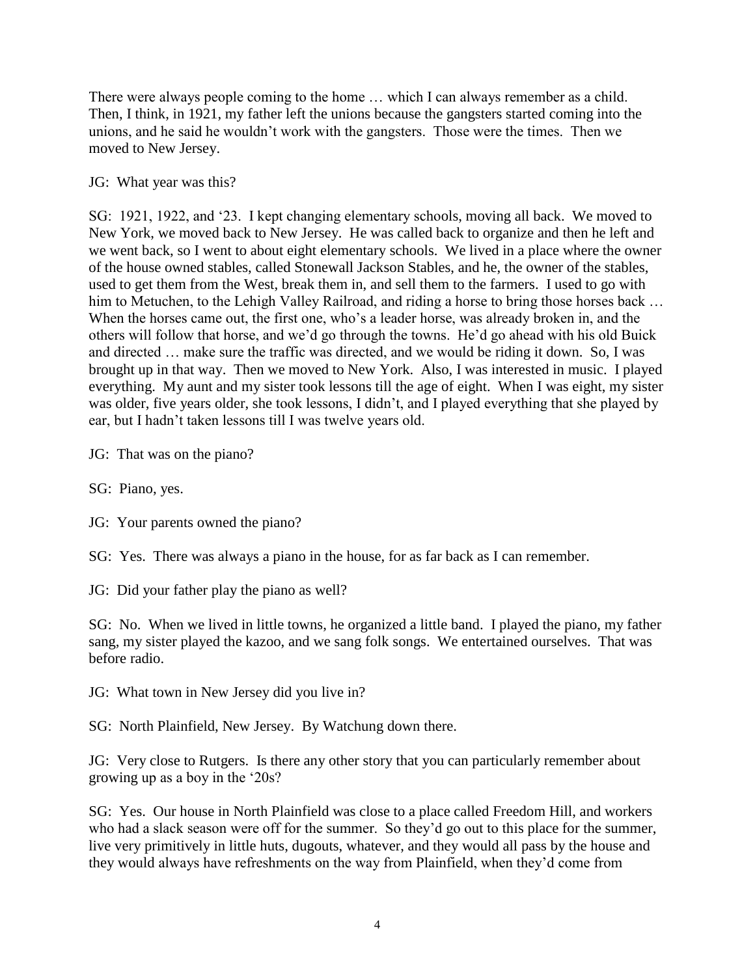There were always people coming to the home … which I can always remember as a child. Then, I think, in 1921, my father left the unions because the gangsters started coming into the unions, and he said he wouldn't work with the gangsters. Those were the times. Then we moved to New Jersey.

## JG: What year was this?

SG: 1921, 1922, and '23. I kept changing elementary schools, moving all back. We moved to New York, we moved back to New Jersey. He was called back to organize and then he left and we went back, so I went to about eight elementary schools. We lived in a place where the owner of the house owned stables, called Stonewall Jackson Stables, and he, the owner of the stables, used to get them from the West, break them in, and sell them to the farmers. I used to go with him to Metuchen, to the Lehigh Valley Railroad, and riding a horse to bring those horses back ... When the horses came out, the first one, who's a leader horse, was already broken in, and the others will follow that horse, and we'd go through the towns. He'd go ahead with his old Buick and directed … make sure the traffic was directed, and we would be riding it down. So, I was brought up in that way. Then we moved to New York. Also, I was interested in music. I played everything. My aunt and my sister took lessons till the age of eight. When I was eight, my sister was older, five years older, she took lessons, I didn't, and I played everything that she played by ear, but I hadn't taken lessons till I was twelve years old.

JG: That was on the piano?

- SG: Piano, yes.
- JG: Your parents owned the piano?

SG: Yes. There was always a piano in the house, for as far back as I can remember.

JG: Did your father play the piano as well?

SG: No. When we lived in little towns, he organized a little band. I played the piano, my father sang, my sister played the kazoo, and we sang folk songs. We entertained ourselves. That was before radio.

JG: What town in New Jersey did you live in?

SG: North Plainfield, New Jersey. By Watchung down there.

JG: Very close to Rutgers. Is there any other story that you can particularly remember about growing up as a boy in the '20s?

SG: Yes. Our house in North Plainfield was close to a place called Freedom Hill, and workers who had a slack season were off for the summer. So they'd go out to this place for the summer, live very primitively in little huts, dugouts, whatever, and they would all pass by the house and they would always have refreshments on the way from Plainfield, when they'd come from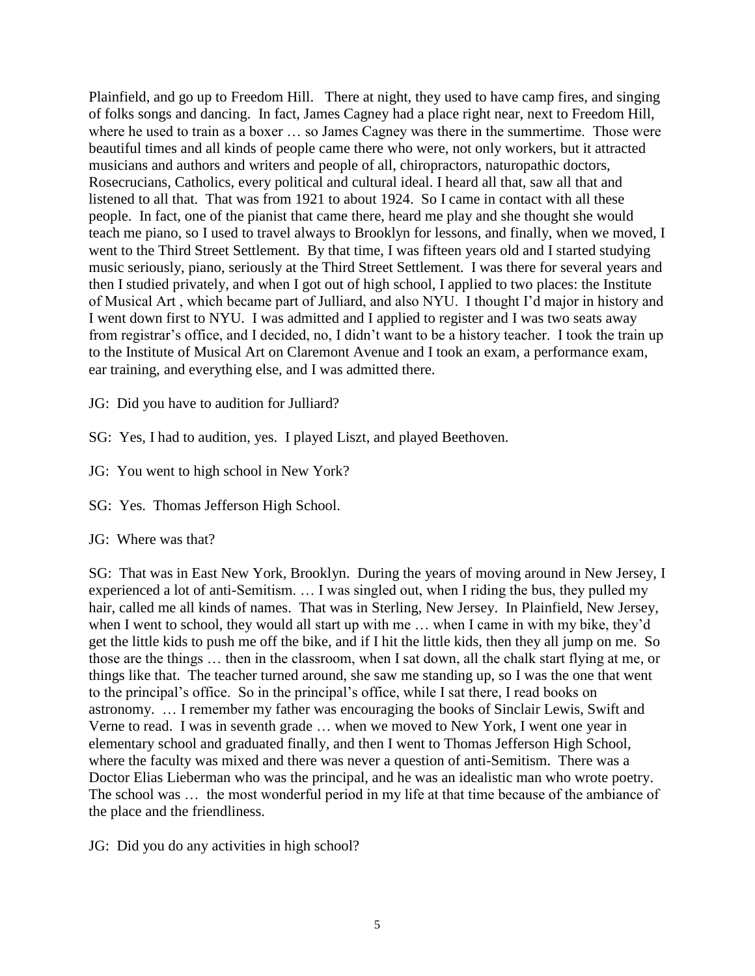Plainfield, and go up to Freedom Hill. There at night, they used to have camp fires, and singing of folks songs and dancing. In fact, James Cagney had a place right near, next to Freedom Hill, where he used to train as a boxer … so James Cagney was there in the summertime. Those were beautiful times and all kinds of people came there who were, not only workers, but it attracted musicians and authors and writers and people of all, chiropractors, naturopathic doctors, Rosecrucians, Catholics, every political and cultural ideal. I heard all that, saw all that and listened to all that. That was from 1921 to about 1924. So I came in contact with all these people. In fact, one of the pianist that came there, heard me play and she thought she would teach me piano, so I used to travel always to Brooklyn for lessons, and finally, when we moved, I went to the Third Street Settlement. By that time, I was fifteen years old and I started studying music seriously, piano, seriously at the Third Street Settlement. I was there for several years and then I studied privately, and when I got out of high school, I applied to two places: the Institute of Musical Art , which became part of Julliard, and also NYU. I thought I'd major in history and I went down first to NYU. I was admitted and I applied to register and I was two seats away from registrar's office, and I decided, no, I didn't want to be a history teacher. I took the train up to the Institute of Musical Art on Claremont Avenue and I took an exam, a performance exam, ear training, and everything else, and I was admitted there.

JG: Did you have to audition for Julliard?

SG: Yes, I had to audition, yes. I played Liszt, and played Beethoven.

JG: You went to high school in New York?

SG: Yes. Thomas Jefferson High School.

# JG: Where was that?

SG: That was in East New York, Brooklyn. During the years of moving around in New Jersey, I experienced a lot of anti-Semitism. … I was singled out, when I riding the bus, they pulled my hair, called me all kinds of names. That was in Sterling, New Jersey. In Plainfield, New Jersey, when I went to school, they would all start up with me ... when I came in with my bike, they'd get the little kids to push me off the bike, and if I hit the little kids, then they all jump on me. So those are the things … then in the classroom, when I sat down, all the chalk start flying at me, or things like that. The teacher turned around, she saw me standing up, so I was the one that went to the principal's office. So in the principal's office, while I sat there, I read books on astronomy. … I remember my father was encouraging the books of Sinclair Lewis, Swift and Verne to read. I was in seventh grade … when we moved to New York, I went one year in elementary school and graduated finally, and then I went to Thomas Jefferson High School, where the faculty was mixed and there was never a question of anti-Semitism. There was a Doctor Elias Lieberman who was the principal, and he was an idealistic man who wrote poetry. The school was … the most wonderful period in my life at that time because of the ambiance of the place and the friendliness.

JG: Did you do any activities in high school?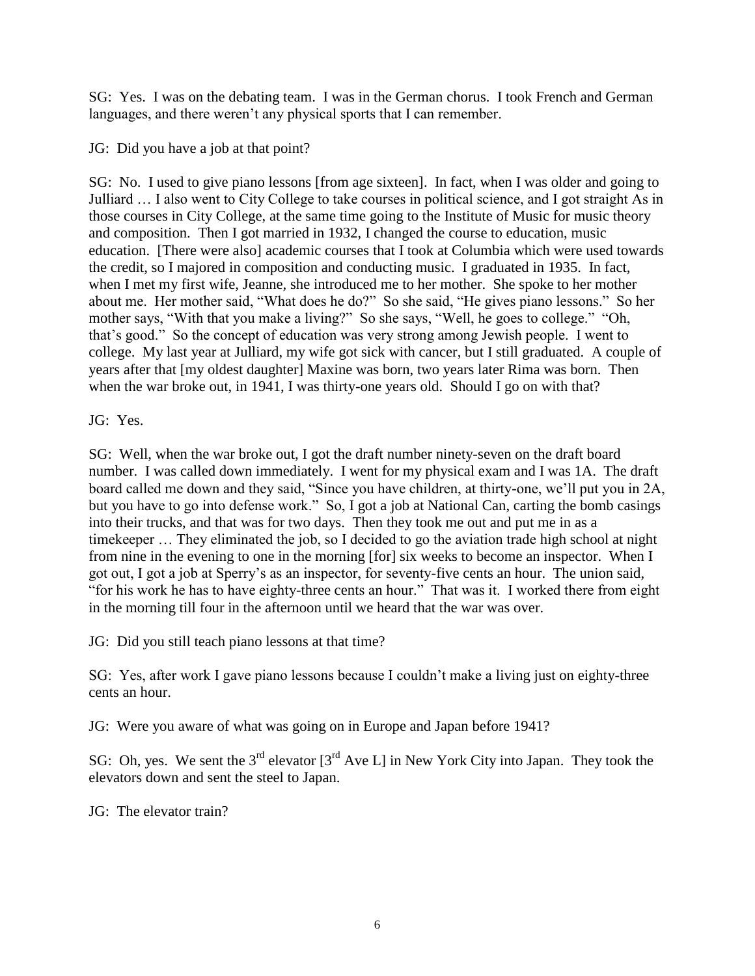SG: Yes. I was on the debating team. I was in the German chorus. I took French and German languages, and there weren't any physical sports that I can remember.

JG: Did you have a job at that point?

SG: No. I used to give piano lessons [from age sixteen]. In fact, when I was older and going to Julliard … I also went to City College to take courses in political science, and I got straight As in those courses in City College, at the same time going to the Institute of Music for music theory and composition. Then I got married in 1932, I changed the course to education, music education. [There were also] academic courses that I took at Columbia which were used towards the credit, so I majored in composition and conducting music. I graduated in 1935. In fact, when I met my first wife, Jeanne, she introduced me to her mother. She spoke to her mother about me. Her mother said, "What does he do?" So she said, "He gives piano lessons." So her mother says, "With that you make a living?" So she says, "Well, he goes to college." "Oh, that's good." So the concept of education was very strong among Jewish people. I went to college. My last year at Julliard, my wife got sick with cancer, but I still graduated. A couple of years after that [my oldest daughter] Maxine was born, two years later Rima was born. Then when the war broke out, in 1941, I was thirty-one years old. Should I go on with that?

JG: Yes.

SG: Well, when the war broke out, I got the draft number ninety-seven on the draft board number. I was called down immediately. I went for my physical exam and I was 1A. The draft board called me down and they said, "Since you have children, at thirty-one, we'll put you in 2A, but you have to go into defense work." So, I got a job at National Can, carting the bomb casings into their trucks, and that was for two days. Then they took me out and put me in as a timekeeper … They eliminated the job, so I decided to go the aviation trade high school at night from nine in the evening to one in the morning [for] six weeks to become an inspector. When I got out, I got a job at Sperry's as an inspector, for seventy-five cents an hour. The union said, "for his work he has to have eighty-three cents an hour." That was it. I worked there from eight in the morning till four in the afternoon until we heard that the war was over.

JG: Did you still teach piano lessons at that time?

SG: Yes, after work I gave piano lessons because I couldn't make a living just on eighty-three cents an hour.

JG: Were you aware of what was going on in Europe and Japan before 1941?

SG: Oh, yes. We sent the  $3^{rd}$  elevator  $3^{rd}$  Ave L in New York City into Japan. They took the elevators down and sent the steel to Japan.

JG: The elevator train?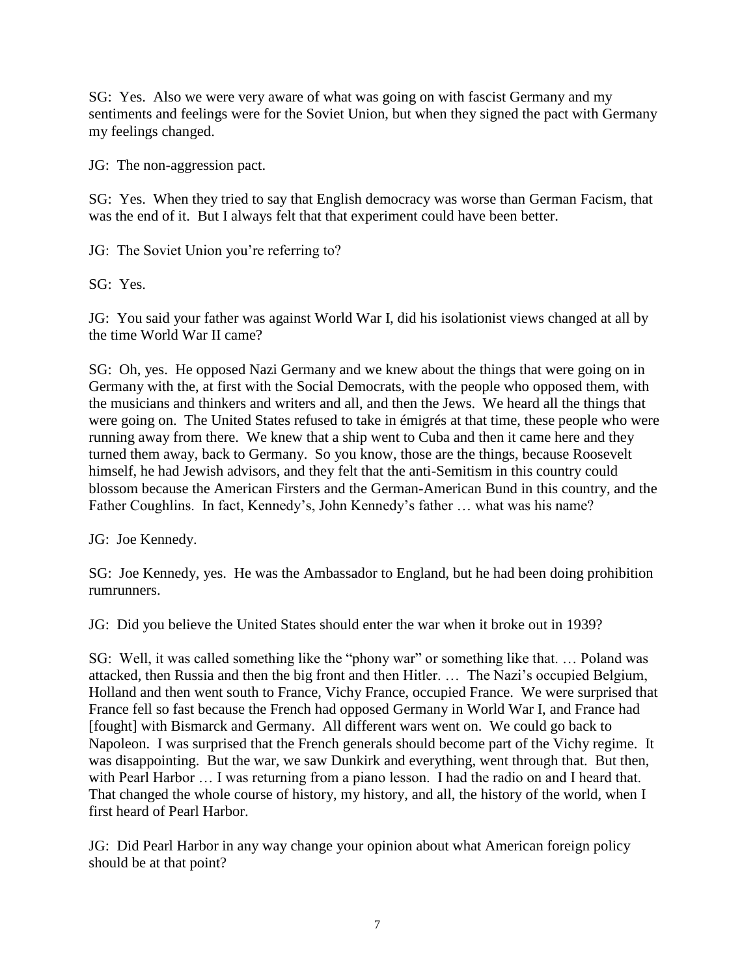SG: Yes. Also we were very aware of what was going on with fascist Germany and my sentiments and feelings were for the Soviet Union, but when they signed the pact with Germany my feelings changed.

JG: The non-aggression pact.

SG: Yes. When they tried to say that English democracy was worse than German Facism, that was the end of it. But I always felt that that experiment could have been better.

JG: The Soviet Union you're referring to?

SG: Yes.

JG: You said your father was against World War I, did his isolationist views changed at all by the time World War II came?

SG: Oh, yes. He opposed Nazi Germany and we knew about the things that were going on in Germany with the, at first with the Social Democrats, with the people who opposed them, with the musicians and thinkers and writers and all, and then the Jews. We heard all the things that were going on. The United States refused to take in émigrés at that time, these people who were running away from there. We knew that a ship went to Cuba and then it came here and they turned them away, back to Germany. So you know, those are the things, because Roosevelt himself, he had Jewish advisors, and they felt that the anti-Semitism in this country could blossom because the American Firsters and the German-American Bund in this country, and the Father Coughlins. In fact, Kennedy's, John Kennedy's father … what was his name?

JG: Joe Kennedy.

SG: Joe Kennedy, yes. He was the Ambassador to England, but he had been doing prohibition rumrunners.

JG: Did you believe the United States should enter the war when it broke out in 1939?

SG: Well, it was called something like the "phony war" or something like that. … Poland was attacked, then Russia and then the big front and then Hitler. … The Nazi's occupied Belgium, Holland and then went south to France, Vichy France, occupied France. We were surprised that France fell so fast because the French had opposed Germany in World War I, and France had [fought] with Bismarck and Germany. All different wars went on. We could go back to Napoleon. I was surprised that the French generals should become part of the Vichy regime. It was disappointing. But the war, we saw Dunkirk and everything, went through that. But then, with Pearl Harbor ... I was returning from a piano lesson. I had the radio on and I heard that. That changed the whole course of history, my history, and all, the history of the world, when I first heard of Pearl Harbor.

JG: Did Pearl Harbor in any way change your opinion about what American foreign policy should be at that point?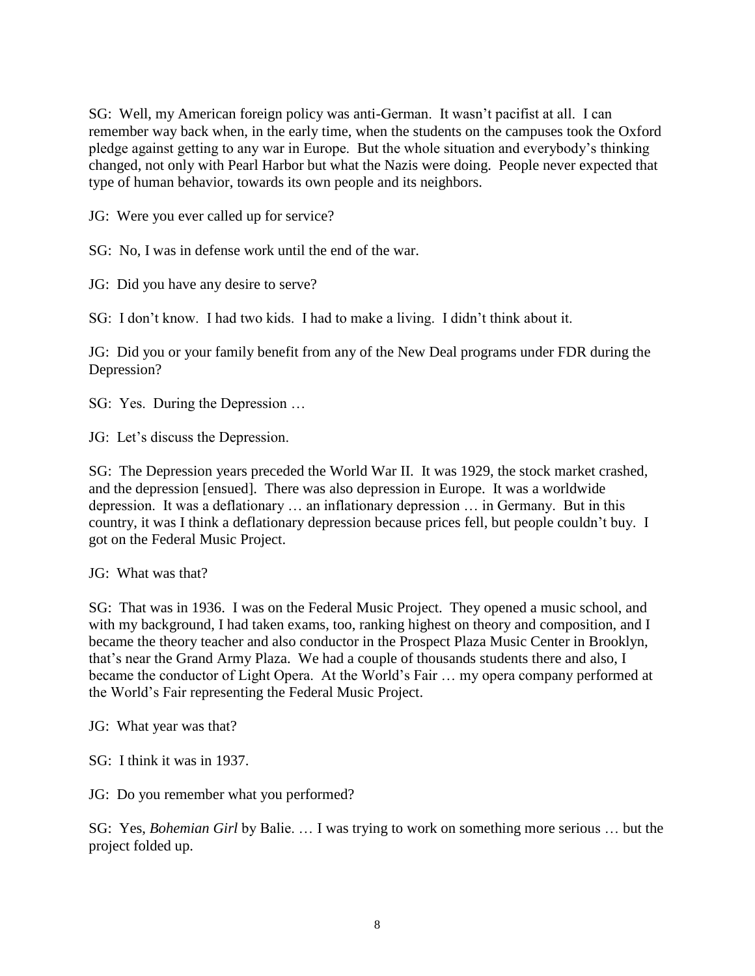SG: Well, my American foreign policy was anti-German. It wasn't pacifist at all. I can remember way back when, in the early time, when the students on the campuses took the Oxford pledge against getting to any war in Europe. But the whole situation and everybody's thinking changed, not only with Pearl Harbor but what the Nazis were doing. People never expected that type of human behavior, towards its own people and its neighbors.

JG: Were you ever called up for service?

SG: No, I was in defense work until the end of the war.

JG: Did you have any desire to serve?

SG: I don't know. I had two kids. I had to make a living. I didn't think about it.

JG: Did you or your family benefit from any of the New Deal programs under FDR during the Depression?

SG: Yes. During the Depression …

JG: Let's discuss the Depression.

SG: The Depression years preceded the World War II. It was 1929, the stock market crashed, and the depression [ensued]. There was also depression in Europe. It was a worldwide depression. It was a deflationary … an inflationary depression … in Germany. But in this country, it was I think a deflationary depression because prices fell, but people couldn't buy. I got on the Federal Music Project.

JG: What was that?

SG: That was in 1936. I was on the Federal Music Project. They opened a music school, and with my background, I had taken exams, too, ranking highest on theory and composition, and I became the theory teacher and also conductor in the Prospect Plaza Music Center in Brooklyn, that's near the Grand Army Plaza. We had a couple of thousands students there and also, I became the conductor of Light Opera. At the World's Fair ... my opera company performed at the World's Fair representing the Federal Music Project.

JG: What year was that?

SG: I think it was in 1937.

JG: Do you remember what you performed?

SG: Yes, *Bohemian Girl* by Balie. … I was trying to work on something more serious … but the project folded up.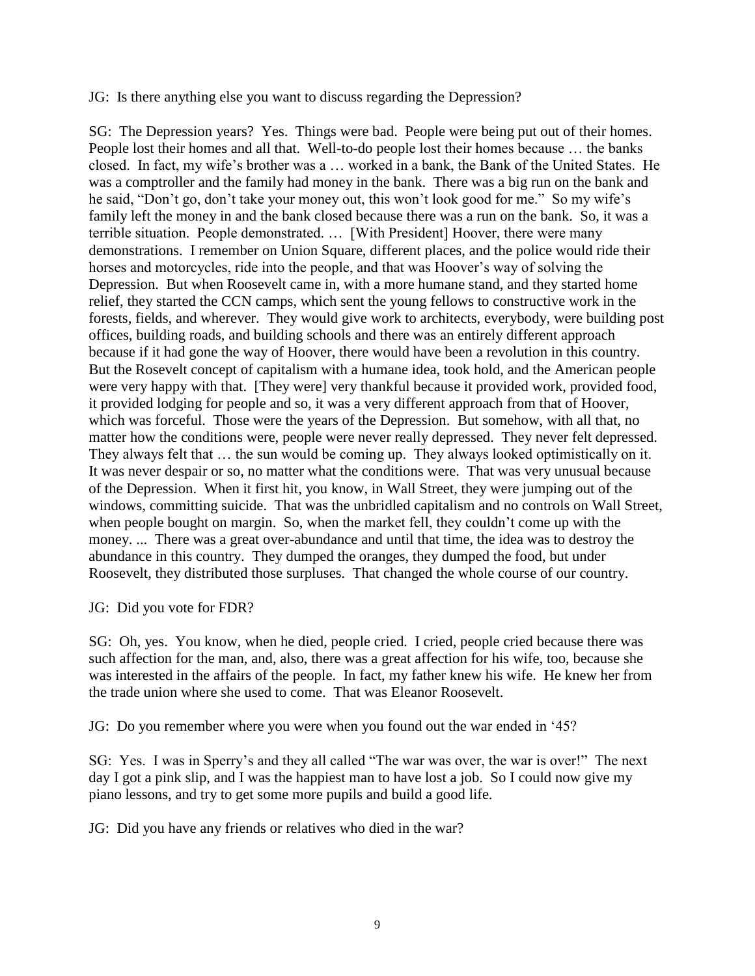JG: Is there anything else you want to discuss regarding the Depression?

SG: The Depression years? Yes. Things were bad. People were being put out of their homes. People lost their homes and all that. Well-to-do people lost their homes because … the banks closed. In fact, my wife's brother was a … worked in a bank, the Bank of the United States. He was a comptroller and the family had money in the bank. There was a big run on the bank and he said, "Don't go, don't take your money out, this won't look good for me." So my wife's family left the money in and the bank closed because there was a run on the bank. So, it was a terrible situation. People demonstrated. … [With President] Hoover, there were many demonstrations. I remember on Union Square, different places, and the police would ride their horses and motorcycles, ride into the people, and that was Hoover's way of solving the Depression. But when Roosevelt came in, with a more humane stand, and they started home relief, they started the CCN camps, which sent the young fellows to constructive work in the forests, fields, and wherever. They would give work to architects, everybody, were building post offices, building roads, and building schools and there was an entirely different approach because if it had gone the way of Hoover, there would have been a revolution in this country. But the Rosevelt concept of capitalism with a humane idea, took hold, and the American people were very happy with that. [They were] very thankful because it provided work, provided food, it provided lodging for people and so, it was a very different approach from that of Hoover, which was forceful. Those were the years of the Depression. But somehow, with all that, no matter how the conditions were, people were never really depressed. They never felt depressed. They always felt that … the sun would be coming up. They always looked optimistically on it. It was never despair or so, no matter what the conditions were. That was very unusual because of the Depression. When it first hit, you know, in Wall Street, they were jumping out of the windows, committing suicide. That was the unbridled capitalism and no controls on Wall Street, when people bought on margin. So, when the market fell, they couldn't come up with the money. ... There was a great over-abundance and until that time, the idea was to destroy the abundance in this country. They dumped the oranges, they dumped the food, but under Roosevelt, they distributed those surpluses. That changed the whole course of our country.

JG: Did you vote for FDR?

SG: Oh, yes. You know, when he died, people cried. I cried, people cried because there was such affection for the man, and, also, there was a great affection for his wife, too, because she was interested in the affairs of the people. In fact, my father knew his wife. He knew her from the trade union where she used to come. That was Eleanor Roosevelt.

JG: Do you remember where you were when you found out the war ended in '45?

SG: Yes. I was in Sperry's and they all called "The war was over, the war is over!" The next day I got a pink slip, and I was the happiest man to have lost a job. So I could now give my piano lessons, and try to get some more pupils and build a good life.

JG: Did you have any friends or relatives who died in the war?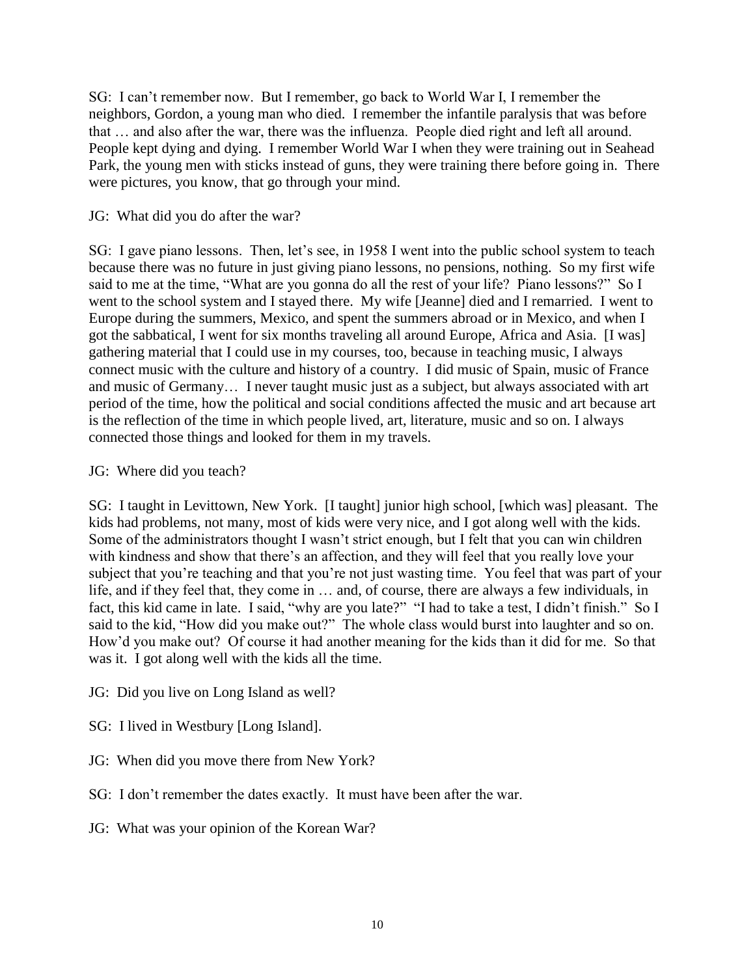SG: I can't remember now. But I remember, go back to World War I, I remember the neighbors, Gordon, a young man who died. I remember the infantile paralysis that was before that … and also after the war, there was the influenza. People died right and left all around. People kept dying and dying. I remember World War I when they were training out in Seahead Park, the young men with sticks instead of guns, they were training there before going in. There were pictures, you know, that go through your mind.

#### JG: What did you do after the war?

SG: I gave piano lessons. Then, let's see, in 1958 I went into the public school system to teach because there was no future in just giving piano lessons, no pensions, nothing. So my first wife said to me at the time, "What are you gonna do all the rest of your life? Piano lessons?" So I went to the school system and I stayed there. My wife [Jeanne] died and I remarried. I went to Europe during the summers, Mexico, and spent the summers abroad or in Mexico, and when I got the sabbatical, I went for six months traveling all around Europe, Africa and Asia. [I was] gathering material that I could use in my courses, too, because in teaching music, I always connect music with the culture and history of a country. I did music of Spain, music of France and music of Germany… I never taught music just as a subject, but always associated with art period of the time, how the political and social conditions affected the music and art because art is the reflection of the time in which people lived, art, literature, music and so on. I always connected those things and looked for them in my travels.

#### JG: Where did you teach?

SG: I taught in Levittown, New York. [I taught] junior high school, [which was] pleasant. The kids had problems, not many, most of kids were very nice, and I got along well with the kids. Some of the administrators thought I wasn't strict enough, but I felt that you can win children with kindness and show that there's an affection, and they will feel that you really love your subject that you're teaching and that you're not just wasting time. You feel that was part of your life, and if they feel that, they come in … and, of course, there are always a few individuals, in fact, this kid came in late. I said, "why are you late?" "I had to take a test, I didn't finish." So I said to the kid, "How did you make out?" The whole class would burst into laughter and so on. How'd you make out? Of course it had another meaning for the kids than it did for me. So that was it. I got along well with the kids all the time.

JG: Did you live on Long Island as well?

SG: I lived in Westbury [Long Island].

JG: When did you move there from New York?

SG: I don't remember the dates exactly. It must have been after the war.

JG: What was your opinion of the Korean War?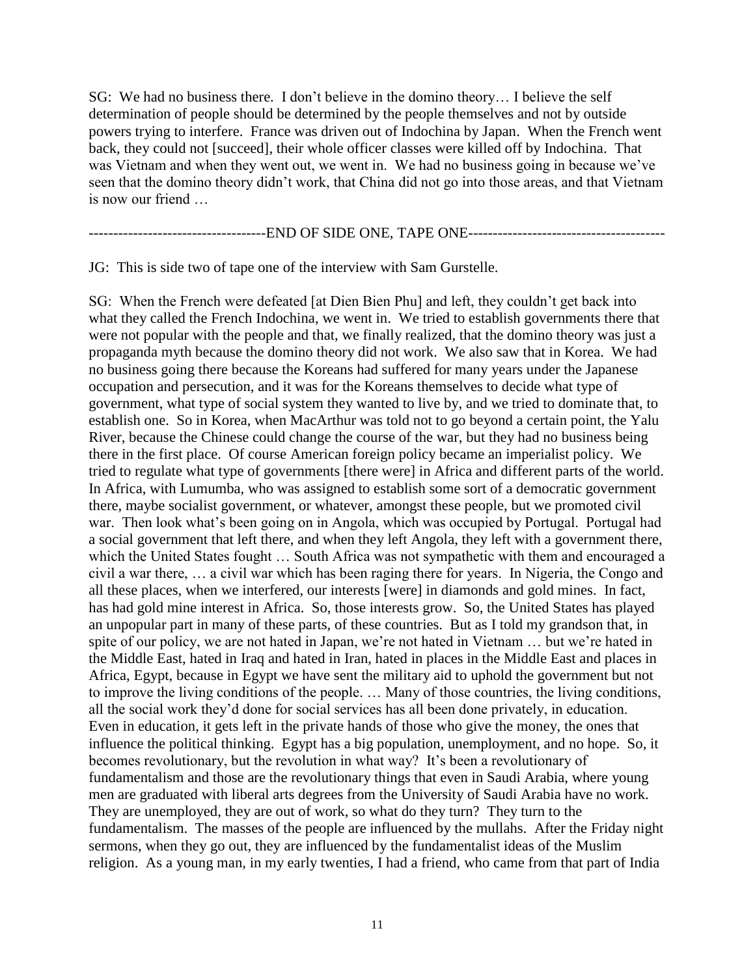SG: We had no business there. I don't believe in the domino theory… I believe the self determination of people should be determined by the people themselves and not by outside powers trying to interfere. France was driven out of Indochina by Japan. When the French went back, they could not [succeed], their whole officer classes were killed off by Indochina. That was Vietnam and when they went out, we went in. We had no business going in because we've seen that the domino theory didn't work, that China did not go into those areas, and that Vietnam is now our friend

------------------------------------END OF SIDE ONE, TAPE ONE----------------------------------------

JG: This is side two of tape one of the interview with Sam Gurstelle.

SG: When the French were defeated [at Dien Bien Phu] and left, they couldn't get back into what they called the French Indochina, we went in. We tried to establish governments there that were not popular with the people and that, we finally realized, that the domino theory was just a propaganda myth because the domino theory did not work. We also saw that in Korea. We had no business going there because the Koreans had suffered for many years under the Japanese occupation and persecution, and it was for the Koreans themselves to decide what type of government, what type of social system they wanted to live by, and we tried to dominate that, to establish one. So in Korea, when MacArthur was told not to go beyond a certain point, the Yalu River, because the Chinese could change the course of the war, but they had no business being there in the first place. Of course American foreign policy became an imperialist policy. We tried to regulate what type of governments [there were] in Africa and different parts of the world. In Africa, with Lumumba, who was assigned to establish some sort of a democratic government there, maybe socialist government, or whatever, amongst these people, but we promoted civil war. Then look what's been going on in Angola, which was occupied by Portugal. Portugal had a social government that left there, and when they left Angola, they left with a government there, which the United States fought … South Africa was not sympathetic with them and encouraged a civil a war there, … a civil war which has been raging there for years. In Nigeria, the Congo and all these places, when we interfered, our interests [were] in diamonds and gold mines. In fact, has had gold mine interest in Africa. So, those interests grow. So, the United States has played an unpopular part in many of these parts, of these countries. But as I told my grandson that, in spite of our policy, we are not hated in Japan, we're not hated in Vietnam … but we're hated in the Middle East, hated in Iraq and hated in Iran, hated in places in the Middle East and places in Africa, Egypt, because in Egypt we have sent the military aid to uphold the government but not to improve the living conditions of the people. … Many of those countries, the living conditions, all the social work they'd done for social services has all been done privately, in education. Even in education, it gets left in the private hands of those who give the money, the ones that influence the political thinking. Egypt has a big population, unemployment, and no hope. So, it becomes revolutionary, but the revolution in what way? It's been a revolutionary of fundamentalism and those are the revolutionary things that even in Saudi Arabia, where young men are graduated with liberal arts degrees from the University of Saudi Arabia have no work. They are unemployed, they are out of work, so what do they turn? They turn to the fundamentalism. The masses of the people are influenced by the mullahs. After the Friday night sermons, when they go out, they are influenced by the fundamentalist ideas of the Muslim religion. As a young man, in my early twenties, I had a friend, who came from that part of India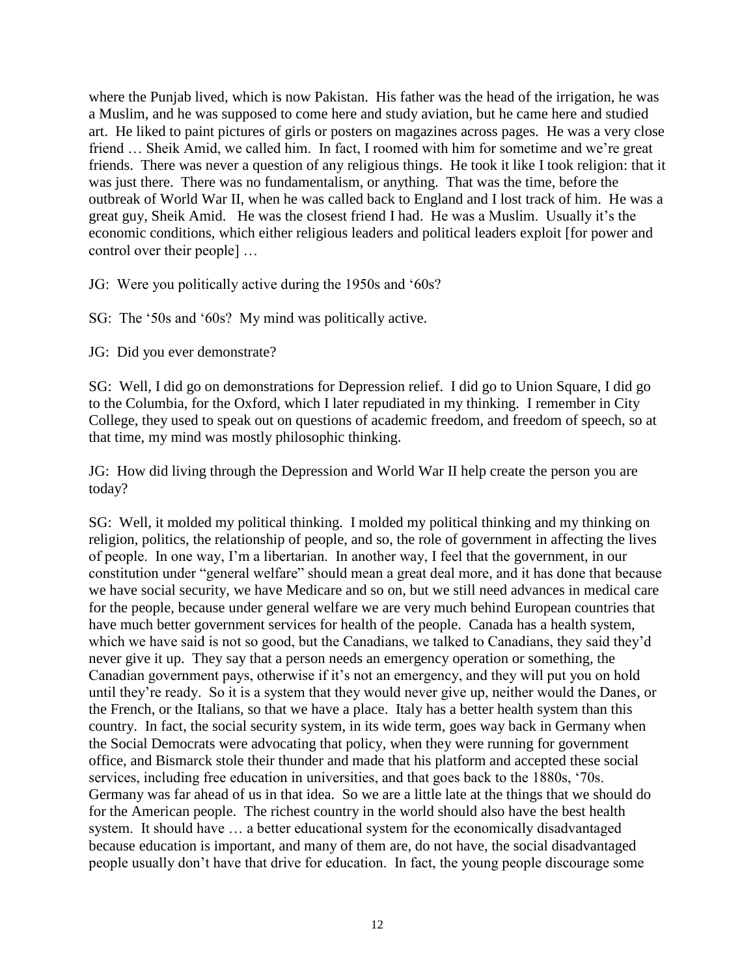where the Punjab lived, which is now Pakistan. His father was the head of the irrigation, he was a Muslim, and he was supposed to come here and study aviation, but he came here and studied art. He liked to paint pictures of girls or posters on magazines across pages. He was a very close friend … Sheik Amid, we called him. In fact, I roomed with him for sometime and we're great friends. There was never a question of any religious things. He took it like I took religion: that it was just there. There was no fundamentalism, or anything. That was the time, before the outbreak of World War II, when he was called back to England and I lost track of him. He was a great guy, Sheik Amid. He was the closest friend I had. He was a Muslim. Usually it's the economic conditions, which either religious leaders and political leaders exploit [for power and control over their people] …

JG: Were you politically active during the 1950s and '60s?

SG: The '50s and '60s? My mind was politically active.

JG: Did you ever demonstrate?

SG: Well, I did go on demonstrations for Depression relief. I did go to Union Square, I did go to the Columbia, for the Oxford, which I later repudiated in my thinking. I remember in City College, they used to speak out on questions of academic freedom, and freedom of speech, so at that time, my mind was mostly philosophic thinking.

JG: How did living through the Depression and World War II help create the person you are today?

SG: Well, it molded my political thinking. I molded my political thinking and my thinking on religion, politics, the relationship of people, and so, the role of government in affecting the lives of people. In one way, I'm a libertarian. In another way, I feel that the government, in our constitution under "general welfare" should mean a great deal more, and it has done that because we have social security, we have Medicare and so on, but we still need advances in medical care for the people, because under general welfare we are very much behind European countries that have much better government services for health of the people. Canada has a health system, which we have said is not so good, but the Canadians, we talked to Canadians, they said they'd never give it up. They say that a person needs an emergency operation or something, the Canadian government pays, otherwise if it's not an emergency, and they will put you on hold until they're ready. So it is a system that they would never give up, neither would the Danes, or the French, or the Italians, so that we have a place. Italy has a better health system than this country. In fact, the social security system, in its wide term, goes way back in Germany when the Social Democrats were advocating that policy, when they were running for government office, and Bismarck stole their thunder and made that his platform and accepted these social services, including free education in universities, and that goes back to the 1880s, '70s. Germany was far ahead of us in that idea. So we are a little late at the things that we should do for the American people. The richest country in the world should also have the best health system. It should have … a better educational system for the economically disadvantaged because education is important, and many of them are, do not have, the social disadvantaged people usually don't have that drive for education. In fact, the young people discourage some